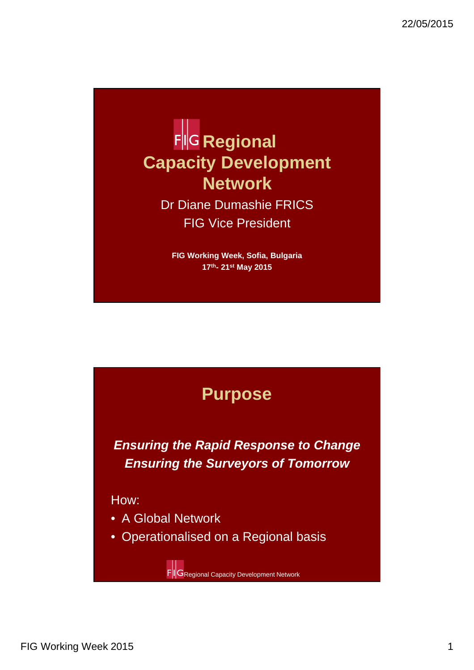

Dr Diane Dumashie FRICS FIG Vice President

**FIG Working Week, Sofia, Bulgaria 17th- 21st May 2015**



**Ensuring the Rapid Response to Change Ensuring the Surveyors of Tomorrow**

How:

- A Global Network
- Operationalised on a Regional basis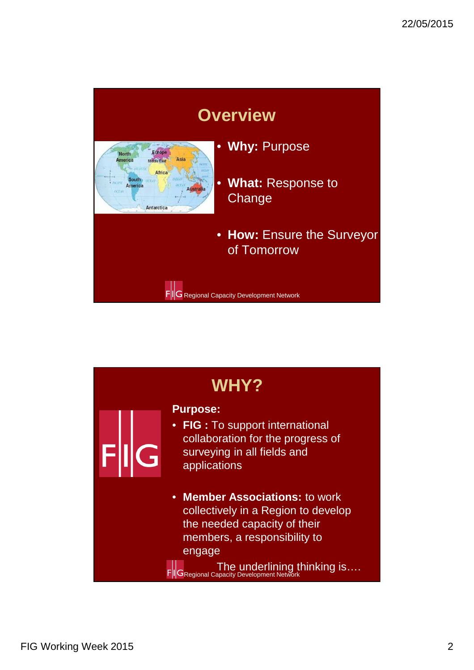

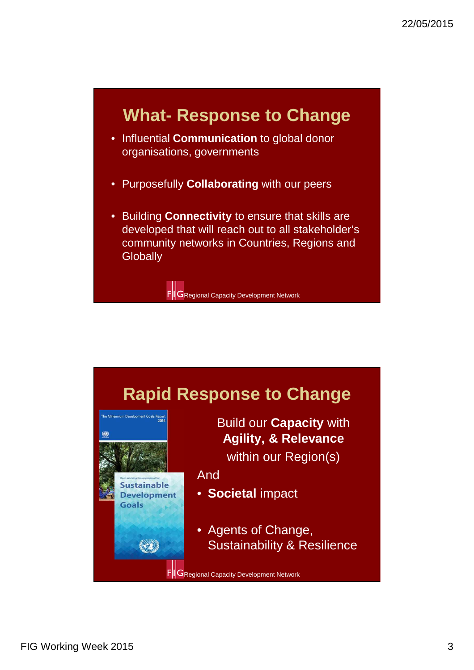#### **What- Response to Change**

- Influential **Communication** to global donor organisations, governments
- Purposefully **Collaborating** with our peers
- Building **Connectivity** to ensure that skills are developed that will reach out to all stakeholder's community networks in Countries, Regions and **Globally**

**FIG** Regional Capacity Development Network

## **Rapid Response to Change**



Build our **Capacity** with **Agility, & Relevance**  within our Region(s)

And

- **Societal** impact
- Agents of Change, Sustainability & Resilience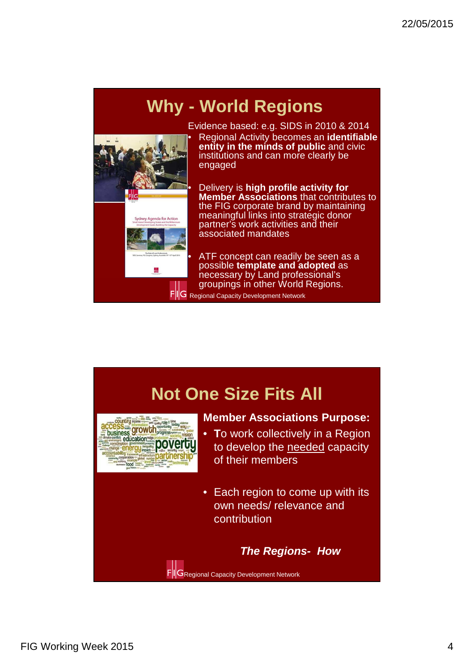# **Why - World Regions**



Evidence based: e.g. SIDS in 2010 & 2014 • Regional Activity becomes an **identifiable entity in the minds of public** and civic institutions and can more clearly be engaged

• Delivery is **high profile activity for Member Associations** that contributes to the FIG corporate brand by maintaining meaningful links into strategic donor partner's work activities and their associated mandates

ATF concept can readily be seen as a possible **template and adopted** as necessary by Land professional's groupings in other World Regions. Regional Capacity Development Network

**Not One Size Fits All Member Associations Purpose:**  y role = time **CCESS growth** • **T**o work collectively in a Region progress<sub>sustern</sub> to develop the needed capacity of their members • Each region to come up with its own needs/ relevance and contribution **The Regions- How FIG** Regional Capacity Development Network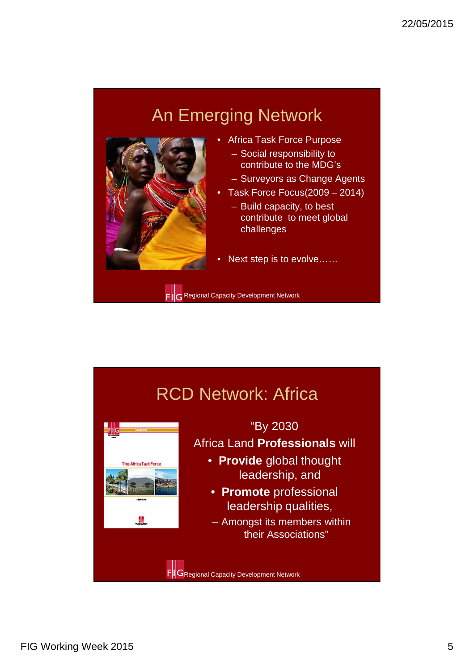# An Emerging Network



The Africa Task Force

- Africa Task Force Purpose – Social responsibility to
	- contribute to the MDG's
- Surveyors as Change Agents
- Task Force Focus(2009 2014) – Build capacity, to best contribute to meet global challenges
- Next step is to evolve......

FIG Regional Capacity Development Network

# RCD Network: Africa



Africa Land **Professionals** will

- **Provide** global thought leadership, and
- **Promote** professional leadership qualities,
- Amongst its members within their Associations"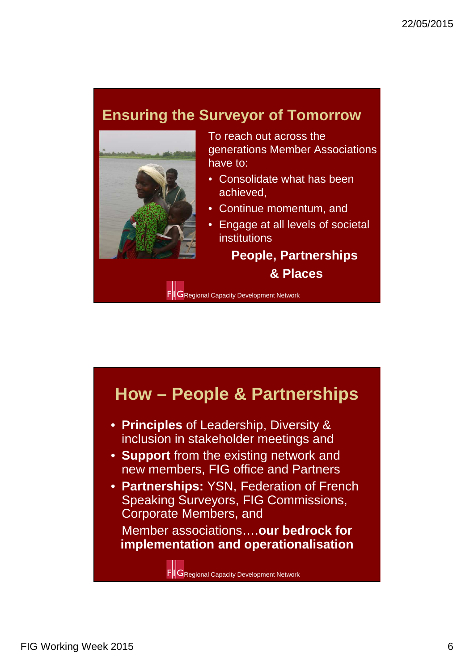#### **Ensuring the Surveyor of Tomorrow**



To reach out across the generations Member Associations have to:

- Consolidate what has been achieved,
- Continue momentum, and
- Engage at all levels of societal institutions

**People, Partnerships & Places**

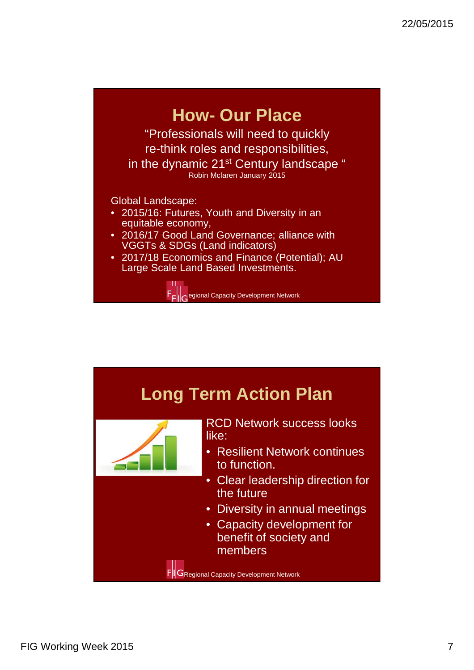



FIG Working Week 2015 7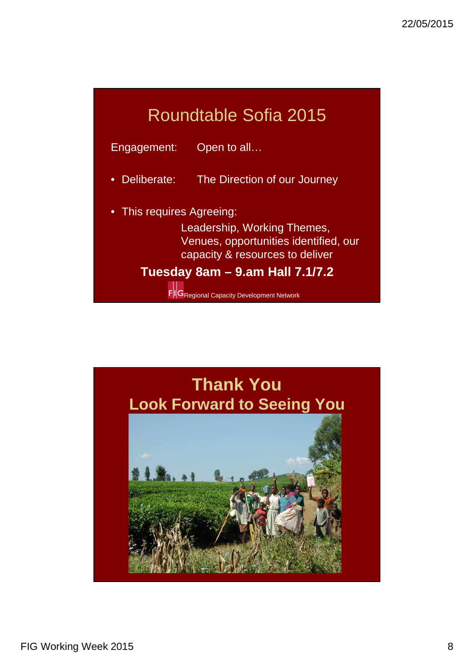## Roundtable Sofia 2015

Engagement: Open to all…

• Deliberate: The Direction of our Journey

• This requires Agreeing:

Leadership, Working Themes, Venues, opportunities identified, our capacity & resources to deliver

**Tuesday 8am – 9.am Hall 7.1/7.2**